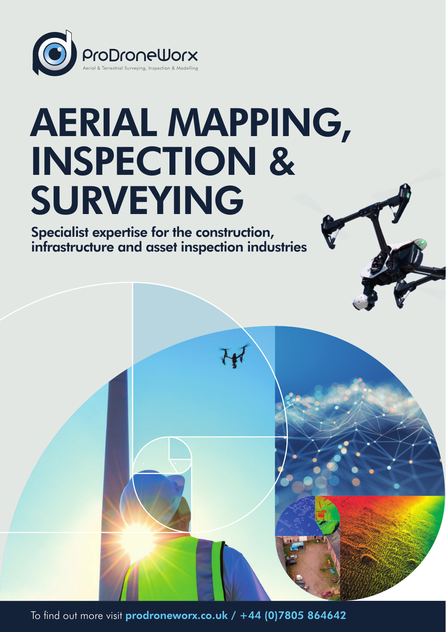

# AERIAL MAPPING, INSPECTION & SURVEYING

Specialist expertise for the construction, infrastructure and asset inspection industries

To find out more visit [prodroneworx.co.uk](https://www.prodroneworx.co.uk) / +44 (0)7805 864642